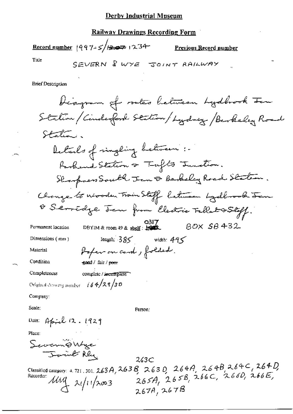#### **Railway Drawings Recording Form**

Record number  $|997-5|$  =  $\Rightarrow$   $|234-$ 

Previous Record number

Title

SEVERN & WYE JOINT RAILWAY

**Brief Description** 

biagram of routes letween Lydbrook Ien Station / Cinderford Station / Lydney / Berkeley Road Station. Details of ringling between :-Raskand Station or Taylor Junction. Shopper South Jan & Berkeley Road Staten. Change to nivoden Train Staff between Lydbrook Jan 8 Servidge Jan from Cledric Tallat & Stoff. O317<br>DBYIM & room 49 & shelf :  $\frac{1}{2}$  $BOX$   $SB$   $432$ Permanent location length:  $385$  width:  $495$ Dimensions (mm) Poper on card, folded. Material Condition send / fair / poor Completeness complete / incomplete Original dumang nunder  $-i 64/28/30$ Company: Scale: Person: Date: April 12.1929 Place: Severnô Wye Joint Rey  $263C$ Classified category: 4.721, 301, 263A, 263B, 263D, 264A, 264B, 264C, 264D,<br>Recorder: MM 21/11/2003 265A, 265B, 266C, 266D, 266E,  $\frac{\mu\mu}{4}$   $\frac{\mu}{12003}$ 267A, 267B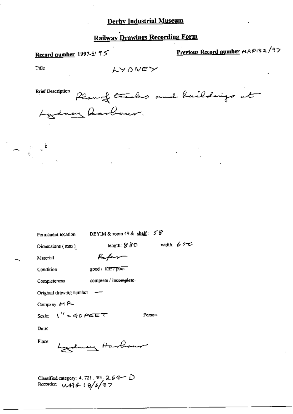## **Railway Drawings Recording Form**

# Record number 1997-5/ 95

Previous Record number MAP132/97

Title

LYONEY

**Brief Description** Plangt tracks and buildings at ency Aarbour.

Permanent iccation

DBYIM & room 49 & shelf:  $58$ 

length:  $880$ 

width:  $600$ 

Person:

Dimensions (mm)

Material

Paper

Condition

good / fair / poor

Completencss complete / incomplete-

Original drawing number  $-$ 

Company:  $M \rightarrow$ 

 $\frac{1}{2}$  = 40 FEET Scale:

Date:

Place:

nu Harb

Classified category: 4.721.301.2.64 D<br>Recorder:  $M + 6 - 19/6/97$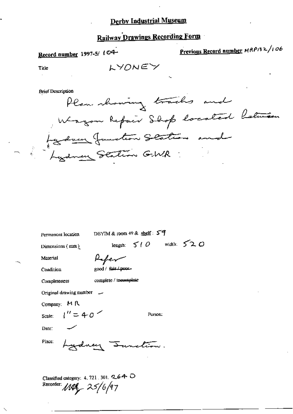# **Railway Drawings Recording Form**

# Record number 1997-5/ to4-

Previous Record number MRP132/106

Title

LYONEY

**Brief Description** 

Plan showing tracks and Wagon Repair Shop located between Lydney Junction Station and

Permanent location

DBYIM & room 49 & shelf: 59

Dimensions (mm)

Refer

good / fair / poor-

Condition

Completeness

Material

complete / ipsomplete

Original drawing number \_\_

 $1'' = 40''$ 

Company: MR

Scale:

Person:

length:  $510$  width:  $520$ 

Date:

Place:

ydney Function.

Classified category: 4, 721, 301, 264 O Recorder: *MAR<sub>2</sub> 25/6/97*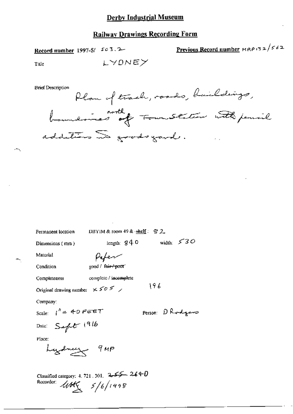### **Railway Drawings Recording Form**

LYONEY

Record number 1997-5/ 503.2

Previous Record number MRP132/562

Title

**Brief Description** escription flam of track, roads, buildings, additions as goods gard.

| Permanent location                                                            | DBYIM & room 49 & shelf: $\mathcal{D}2$ |                   |  |
|-------------------------------------------------------------------------------|-----------------------------------------|-------------------|--|
| Dimensions (mm)                                                               | length: $840$                           | width: $530$      |  |
| Material                                                                      | Piper                                   |                   |  |
| Condition                                                                     | good / fair-/-poor                      |                   |  |
| Completeness                                                                  | complete / incomplete                   |                   |  |
| Original drawing number $x 50$ $5x$                                           |                                         | 196               |  |
| Company:                                                                      |                                         |                   |  |
| Scale: $1'' = 40$ Feet                                                        |                                         | Person: DR odgars |  |
| Date: $S$ aft 1916                                                            |                                         |                   |  |
| Place:                                                                        |                                         |                   |  |
| Lydney 9MP                                                                    |                                         |                   |  |
| Classified category: 4, 721, 301, $25 - 26 + 0$<br>Recorder:<br>4045/5/6/1998 |                                         |                   |  |